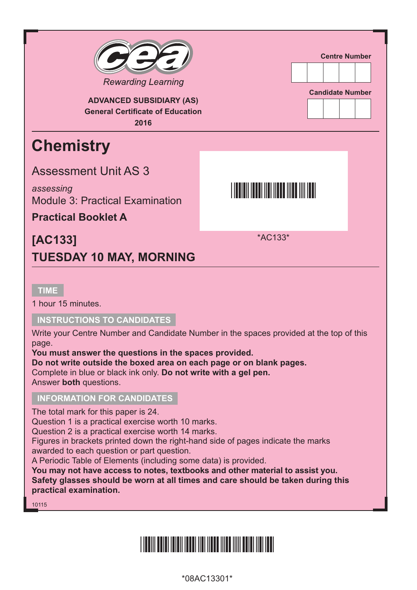

#### **tImE**

1 hour 15 minutes.

#### **INStRUCtIoNS to CANDIDAtES**

Write your Centre Number and Candidate Number in the spaces provided at the top of this page.

**You must answer the questions in the spaces provided.**

**Do not write outside the boxed area on each page or on blank pages.** Complete in blue or black ink only. **Do not write with a gel pen.** Answer **both** questions.

#### **INFoRmAtIoN FoR CANDIDAtES**

The total mark for this paper is 24.

Question 1 is a practical exercise worth 10 marks.

Question 2 is a practical exercise worth 14 marks.

Figures in brackets printed down the right-hand side of pages indicate the marks awarded to each question or part question.

A Periodic Table of Elements (including some data) is provided.

**You may not have access to notes, textbooks and other material to assist you. Safety glasses should be worn at all times and care should be taken during this practical examination.**

10115

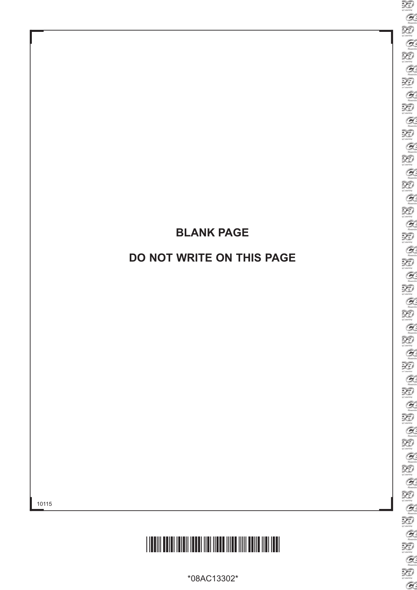## **BLANK PAgE**

## **Do Not WRItE oN tHIS PAgE**



\*08AC13302\*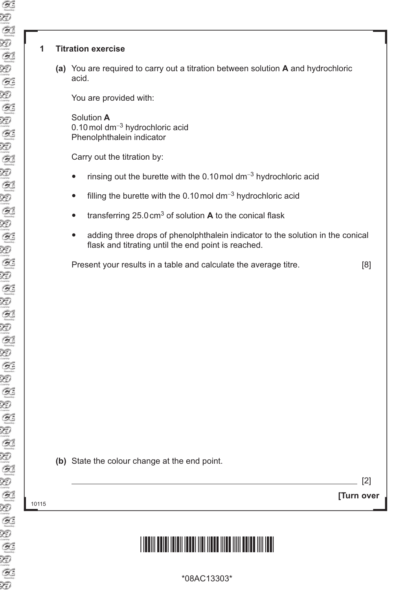#### **1 titration exercise**

**(a)** You are required to carry out a titration between solution **A** and hydrochloric acid.

You are provided with:

Solution **A** 0.10mol dm−<sup>3</sup> hydrochloric acid Phenolphthalein indicator

Carry out the titration by:

- rinsing out the burette with the 0.10mol dm−<sup>3</sup> hydrochloric acid
- filling the burette with the 0.10 mol dm<sup>-3</sup> hydrochloric acid
- transferring 25.0 cm<sup>3</sup> of solution **A** to the conical flask
- adding three drops of phenolphthalein indicator to the solution in the conical flask and titrating until the end point is reached.

Present your results in a table and calculate the average titre. [8]

|  | (b) State the colour change at the end point. |  |  |  |  |  |
|--|-----------------------------------------------|--|--|--|--|--|
|--|-----------------------------------------------|--|--|--|--|--|

 $[2]$ 

<sup>10115</sup> **[turn over**

# <u>\*18303 \*18303 \*18303 \*18303 \*18303 \*18303 \*18303 \*18303 \*18303 \*1830</u>

\*08AC13303\*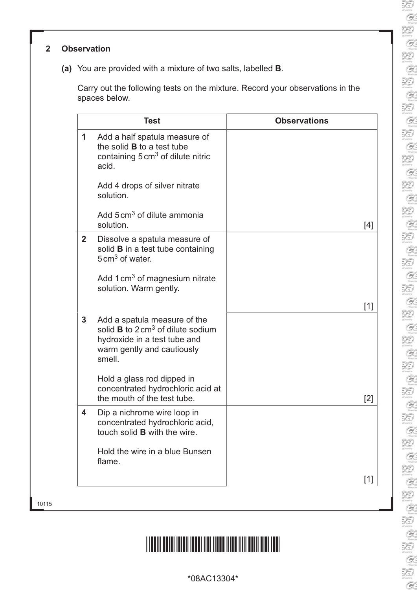#### **2 observation**

**(a)** You are provided with a mixture of two salts, labelled **B**.

Carry out the following tests on the mixture. Record your observations in the spaces below.

|                | <b>Test</b>                                                                                                                                                  | <b>Observations</b> |
|----------------|--------------------------------------------------------------------------------------------------------------------------------------------------------------|---------------------|
| 1              | Add a half spatula measure of<br>the solid <b>B</b> to a test tube<br>containing 5 cm <sup>3</sup> of dilute nitric<br>acid.                                 |                     |
|                | Add 4 drops of silver nitrate<br>solution.                                                                                                                   |                     |
|                | Add 5 cm <sup>3</sup> of dilute ammonia<br>solution.                                                                                                         | [4]                 |
| $\overline{2}$ | Dissolve a spatula measure of<br>solid <b>B</b> in a test tube containing<br>$5 \text{ cm}^3$ of water.                                                      |                     |
|                | Add 1 cm <sup>3</sup> of magnesium nitrate<br>solution. Warm gently.                                                                                         |                     |
|                |                                                                                                                                                              | $[1]$               |
| 3              | Add a spatula measure of the<br>solid $\bf{B}$ to 2 cm <sup>3</sup> of dilute sodium<br>hydroxide in a test tube and<br>warm gently and cautiously<br>smell. |                     |
|                | Hold a glass rod dipped in<br>concentrated hydrochloric acid at<br>the mouth of the test tube.                                                               | [2]                 |
| 4              | Dip a nichrome wire loop in<br>concentrated hydrochloric acid,<br>touch solid <b>B</b> with the wire.                                                        |                     |
|                | Hold the wire in a blue Bunsen<br>flame.                                                                                                                     |                     |
|                |                                                                                                                                                              | $[1]$               |

\*08AC13304\*

10115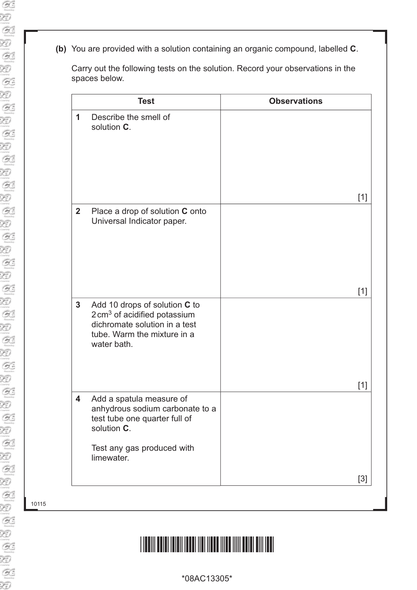**(b)** You are provided with a solution containing an organic compound, labelled **C**.

Carry out the following tests on the solution. Record your observations in the spaces below.

|              | <b>Test</b>                                                                                                                                             | <b>Observations</b> |
|--------------|---------------------------------------------------------------------------------------------------------------------------------------------------------|---------------------|
| 1            | Describe the smell of<br>solution C.                                                                                                                    |                     |
|              |                                                                                                                                                         | $[1]$               |
| $\mathbf{2}$ | Place a drop of solution C onto<br>Universal Indicator paper.                                                                                           |                     |
|              |                                                                                                                                                         | $[1]$               |
| $\mathbf{3}$ | Add 10 drops of solution C to<br>$2 \text{ cm}^3$ of acidified potassium<br>dichromate solution in a test<br>tube. Warm the mixture in a<br>water bath. |                     |
|              |                                                                                                                                                         | $[1]$               |
| 4            | Add a spatula measure of<br>anhydrous sodium carbonate to a<br>test tube one quarter full of<br>solution C.<br>Test any gas produced with<br>limewater. |                     |
|              |                                                                                                                                                         | $[3]$               |
|              |                                                                                                                                                         |                     |

10115

Ð

# <u>\*18AC13305 \*18AC13305 \*18AC13305 \*18AC13305 \*18AC13305 \*18AC13305 \*18AC13305 \*18AC13305 \*18AC13305 \*18AC13305 </u>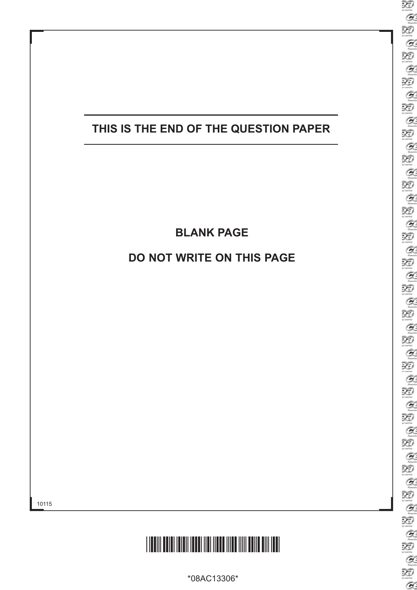

## **BLANK PAgE**

### **Do Not WRItE oN tHIS PAgE**

10115



\*08AC13306\*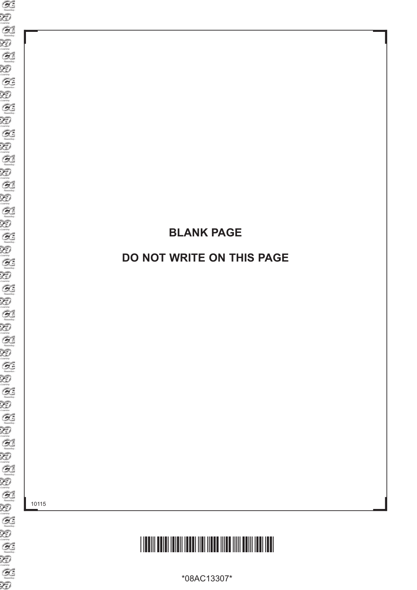## **BLANK PAgE**

### **Do Not WRItE oN tHIS PAgE**

10115



\*08AC13307\*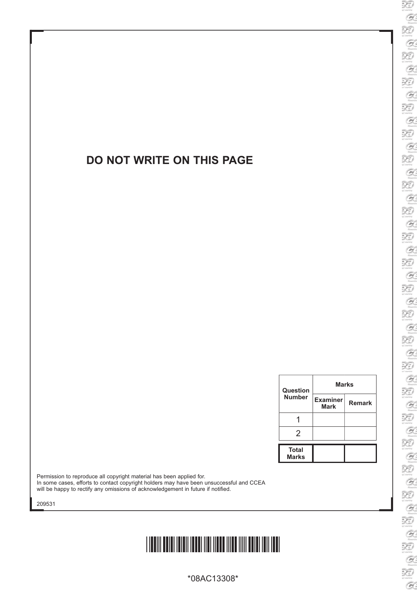### **Do Not WRItE oN tHIS PAgE**

| Question<br><b>Number</b>    | <b>Marks</b>                   |               |  |
|------------------------------|--------------------------------|---------------|--|
|                              | <b>Examiner</b><br><b>Mark</b> | <b>Remark</b> |  |
|                              |                                |               |  |
| 2                            |                                |               |  |
| <b>Total</b><br><b>Marks</b> |                                |               |  |

ī

Permission to reproduce all copyright material has been applied for. In some cases, efforts to contact copyright holders may have been unsuccessful and CCEA will be happy to rectify any omissions of acknowledgement in future if notified.

209531

# \*08AC13308\*

\*08AC13308\*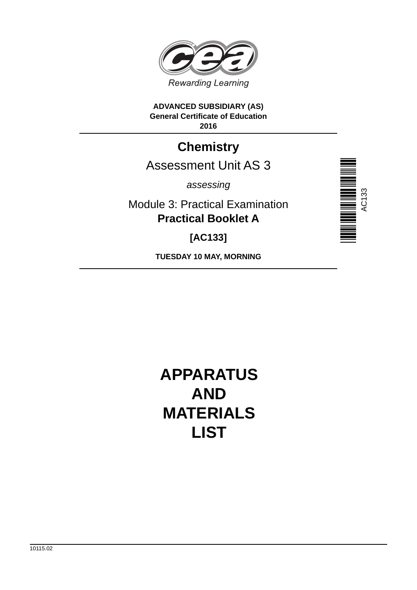

#### **ADVANCED SUBSIDIARY (AS) General Certificate of Education 2016**

## **Chemistry**

## Assessment Unit AS 3

*assessing*

Module 3: Practical Examination **Practical Booklet A**

**[AC133]**

**TUESDAY 10 MAY, MORNING**



**APPARATUS AND MATERIALS LIST**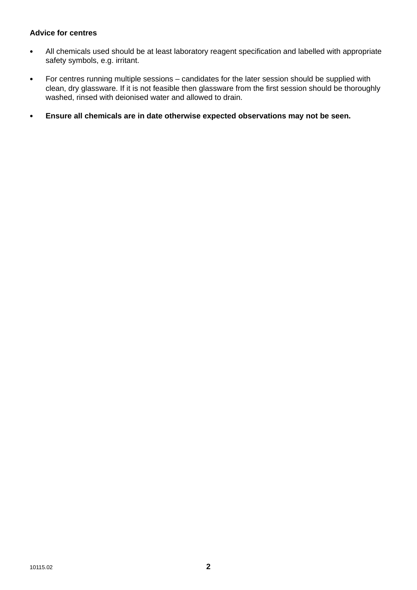#### **Advice for centres**

- All chemicals used should be at least laboratory reagent specification and labelled with appropriate safety symbols, e.g. irritant.
- For centres running multiple sessions candidates for the later session should be supplied with clean, dry glassware. If it is not feasible then glassware from the first session should be thoroughly washed, rinsed with deionised water and allowed to drain.
- **Ensure all chemicals are in date otherwise expected observations may not be seen.**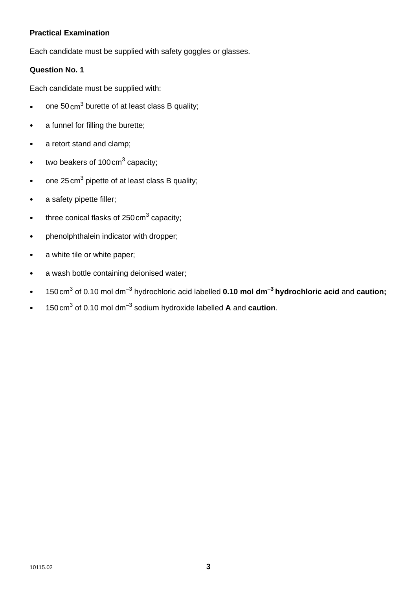#### **Practical Examination**

Each candidate must be supplied with safety goggles or glasses.

#### **Question No. 1**

Each candidate must be supplied with:

- $\bullet$  one 50 cm<sup>3</sup> burette of at least class B quality;
- a funnel for filling the burette;
- a retort stand and clamp;
- two beakers of 100 cm<sup>3</sup> capacity;
- one 25 cm<sup>3</sup> pipette of at least class B quality;
- a safety pipette filler;
- three conical flasks of 250 cm<sup>3</sup> capacity;
- phenolphthalein indicator with dropper;
- a white tile or white paper;
- a wash bottle containing deionised water;
- 150cm3 of 0.10 mol dm–3 hydrochloric acid labelled **0.10 mol dm–3 hydrochloric acid** and **caution;**
- 150 cm3 of 0.10 mol dm–3 sodium hydroxide labelled **A** and **caution**.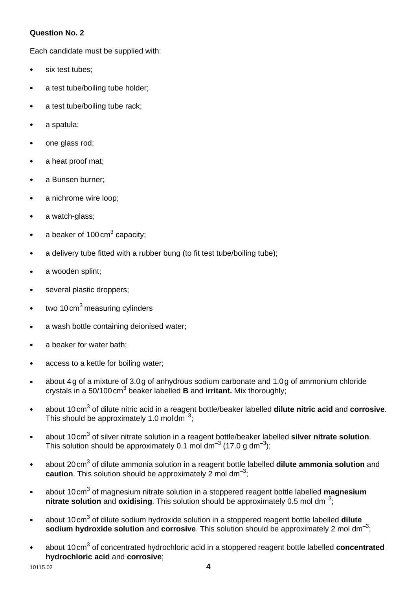#### **Question No. 2**

Each candidate must be supplied with:

- six test tubes:
- a test tube/boiling tube holder;
- a test tube/boiling tube rack;
- a spatula;
- one glass rod;
- a heat proof mat;
- a Bunsen burner;
- a nichrome wire loop;
- a watch-glass;
- a beaker of 100 cm<sup>3</sup> capacity;
- a delivery tube fitted with a rubber bung (to fit test tube/boiling tube);
- a wooden splint;
- several plastic droppers;
- $\bullet$  two 10 cm<sup>3</sup> measuring cylinders
- a wash bottle containing deionised water;
- a beaker for water bath:
- access to a kettle for boiling water;
- about 4 g of a mixture of 3.0 g of anhydrous sodium carbonate and 1.0 g of ammonium chloride crystals in a 50/100 cm<sup>3</sup> beaker labelled **B** and *irritant*. Mix thoroughly;
- **•** about 10 cm<sup>3</sup> of dilute nitric acid in a reagent bottle/beaker labelled **dilute nitric acid** and **corrosive**. This should be approximately 1.0 moldm<sup>-3</sup>:
- about 10 cm<sup>3</sup> of silver nitrate solution in a reagent bottle/beaker labelled **silver nitrate solution**. This solution should be approximately 0.1 mol dm<sup>-3</sup> (17.0 g dm<sup>-3</sup>);
- about 20 cm<sup>3</sup> of dilute ammonia solution in a reagent bottle labelled **dilute ammonia solution** and **caution**. This solution should be approximately 2 mol dm<sup>-3</sup>;
- about 10 cm<sup>3</sup> of magnesium nitrate solution in a stoppered reagent bottle labelled magnesium **nitrate solution** and **oxidising**. This solution should be approximately 0.5 mol dm<sup>-3</sup>;
- about 10 cm<sup>3</sup> of dilute sodium hydroxide solution in a stoppered reagent bottle labelled **dilute sodium hydroxide solution** and **corrosive**. This solution should be approximately 2 mol dm<sup>-3</sup>:
- about 10 cm<sup>3</sup> of concentrated hydrochloric acid in a stoppered reagent bottle labelled **concentrated hydrochloric acid** and **corrosive**;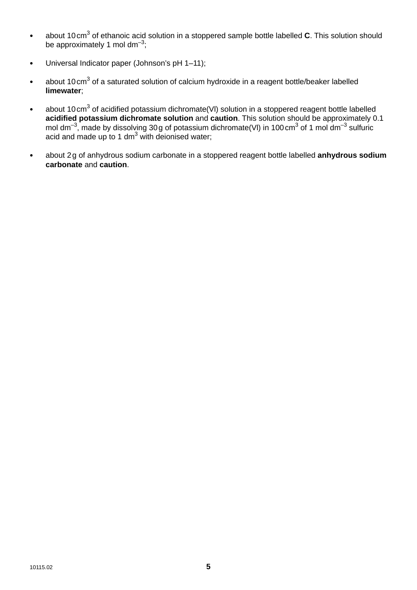- about 10 cm<sup>3</sup> of ethanoic acid solution in a stoppered sample bottle labelled **C**. This solution should be approximately 1 mol dm<sup>-3</sup>;
- Universal Indicator paper (Johnson's pH 1–11);
- about 10 cm<sup>3</sup> of a saturated solution of calcium hydroxide in a reagent bottle/beaker labelled **limewater**;
- about 10 cm<sup>3</sup> of acidified potassium dichromate(VI) solution in a stoppered reagent bottle labelled **acidified potassium dichromate solution** and **caution**. This solution should be approximately 0.1 mol dm<sup>-3</sup>, made by dissolving 30 g of potassium dichromate(VI) in 100 cm<sup>3</sup> of 1 mol dm<sup>-3</sup> sulfuric acid and made up to 1 dm $3$  with deionised water;
- about 2 g of anhydrous sodium carbonate in a stoppered reagent bottle labelled **anhydrous sodium carbonate** and **caution**.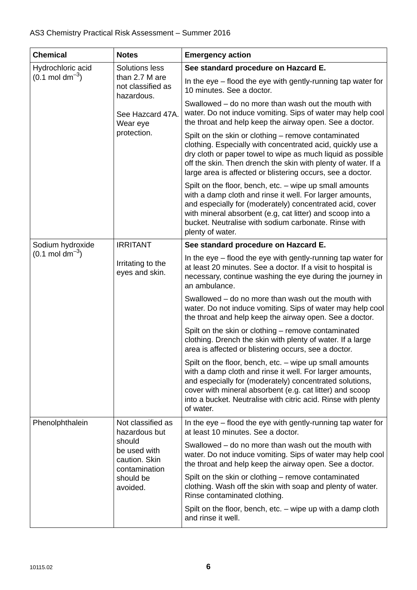| <b>Chemical</b>             | <b>Notes</b>                                                                                                            | <b>Emergency action</b>                                                                                                                                                                                                                                                                                                  |  |
|-----------------------------|-------------------------------------------------------------------------------------------------------------------------|--------------------------------------------------------------------------------------------------------------------------------------------------------------------------------------------------------------------------------------------------------------------------------------------------------------------------|--|
| Hydrochloric acid           | Solutions less<br>than 2.7 M are<br>not classified as<br>hazardous.                                                     | See standard procedure on Hazcard E.                                                                                                                                                                                                                                                                                     |  |
| $(0.1 \text{ mol dm}^{-3})$ |                                                                                                                         | In the eye – flood the eye with gently-running tap water for<br>10 minutes. See a doctor.                                                                                                                                                                                                                                |  |
|                             | See Hazcard 47A.<br>Wear eye<br>protection.                                                                             | Swallowed – do no more than wash out the mouth with<br>water. Do not induce vomiting. Sips of water may help cool<br>the throat and help keep the airway open. See a doctor.                                                                                                                                             |  |
|                             |                                                                                                                         | Spilt on the skin or clothing – remove contaminated<br>clothing. Especially with concentrated acid, quickly use a<br>dry cloth or paper towel to wipe as much liquid as possible<br>off the skin. Then drench the skin with plenty of water. If a<br>large area is affected or blistering occurs, see a doctor.          |  |
|                             |                                                                                                                         | Spilt on the floor, bench, etc. - wipe up small amounts<br>with a damp cloth and rinse it well. For larger amounts,<br>and especially for (moderately) concentrated acid, cover<br>with mineral absorbent (e.g, cat litter) and scoop into a<br>bucket. Neutralise with sodium carbonate. Rinse with<br>plenty of water. |  |
| Sodium hydroxide            | <b>IRRITANT</b>                                                                                                         | See standard procedure on Hazcard E.                                                                                                                                                                                                                                                                                     |  |
| $(0.1 \text{ mol dm}^{-3})$ | Irritating to the<br>eyes and skin.                                                                                     | In the eye – flood the eye with gently-running tap water for<br>at least 20 minutes. See a doctor. If a visit to hospital is<br>necessary, continue washing the eye during the journey in<br>an ambulance.                                                                                                               |  |
|                             |                                                                                                                         | Swallowed – do no more than wash out the mouth with<br>water. Do not induce vomiting. Sips of water may help cool<br>the throat and help keep the airway open. See a doctor.                                                                                                                                             |  |
|                             |                                                                                                                         | Spilt on the skin or clothing - remove contaminated<br>clothing. Drench the skin with plenty of water. If a large<br>area is affected or blistering occurs, see a doctor.                                                                                                                                                |  |
|                             |                                                                                                                         | Spilt on the floor, bench, etc. - wipe up small amounts<br>with a damp cloth and rinse it well. For larger amounts,<br>and especially for (moderately) concentrated solutions,<br>cover with mineral absorbent (e.g. cat litter) and scoop<br>into a bucket. Neutralise with citric acid. Rinse with plenty<br>of water. |  |
| Phenolphthalein             | Not classified as<br>hazardous but<br>should<br>be used with<br>caution. Skin<br>contamination<br>should be<br>avoided. | In the eye – flood the eye with gently-running tap water for<br>at least 10 minutes. See a doctor.                                                                                                                                                                                                                       |  |
|                             |                                                                                                                         | Swallowed – do no more than wash out the mouth with<br>water. Do not induce vomiting. Sips of water may help cool<br>the throat and help keep the airway open. See a doctor.                                                                                                                                             |  |
|                             |                                                                                                                         | Spilt on the skin or clothing – remove contaminated<br>clothing. Wash off the skin with soap and plenty of water.<br>Rinse contaminated clothing.                                                                                                                                                                        |  |
|                             |                                                                                                                         | Spilt on the floor, bench, etc. $-$ wipe up with a damp cloth<br>and rinse it well.                                                                                                                                                                                                                                      |  |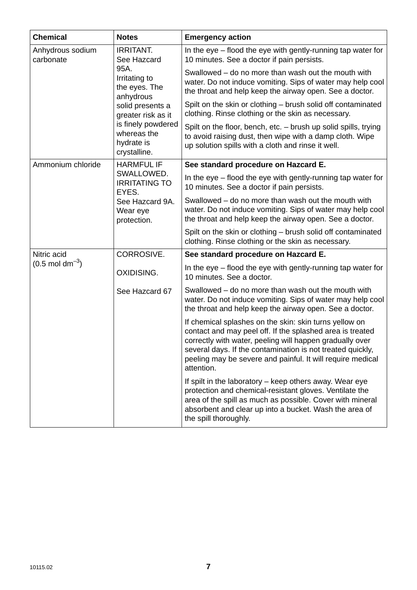| <b>Chemical</b>               | <b>Notes</b>                                                                                                                                                                                        | <b>Emergency action</b>                                                                                                                                                                                                                                                                                                   |
|-------------------------------|-----------------------------------------------------------------------------------------------------------------------------------------------------------------------------------------------------|---------------------------------------------------------------------------------------------------------------------------------------------------------------------------------------------------------------------------------------------------------------------------------------------------------------------------|
| Anhydrous sodium<br>carbonate | <b>IRRITANT.</b><br>See Hazcard<br>95A.<br>Irritating to<br>the eyes. The<br>anhydrous<br>solid presents a<br>greater risk as it<br>is finely powdered<br>whereas the<br>hydrate is<br>crystalline. | In the eye – flood the eye with gently-running tap water for<br>10 minutes. See a doctor if pain persists.                                                                                                                                                                                                                |
|                               |                                                                                                                                                                                                     | Swallowed – do no more than wash out the mouth with<br>water. Do not induce vomiting. Sips of water may help cool<br>the throat and help keep the airway open. See a doctor.                                                                                                                                              |
|                               |                                                                                                                                                                                                     | Spilt on the skin or clothing – brush solid off contaminated<br>clothing. Rinse clothing or the skin as necessary.                                                                                                                                                                                                        |
|                               |                                                                                                                                                                                                     | Spilt on the floor, bench, etc. - brush up solid spills, trying<br>to avoid raising dust, then wipe with a damp cloth. Wipe<br>up solution spills with a cloth and rinse it well.                                                                                                                                         |
| Ammonium chloride             | <b>HARMFUL IF</b>                                                                                                                                                                                   | See standard procedure on Hazcard E.                                                                                                                                                                                                                                                                                      |
|                               | SWALLOWED.<br><b>IRRITATING TO</b><br>EYES.                                                                                                                                                         | In the eye – flood the eye with gently-running tap water for<br>10 minutes. See a doctor if pain persists.                                                                                                                                                                                                                |
|                               | See Hazcard 9A.<br>Wear eye<br>protection.                                                                                                                                                          | Swallowed – do no more than wash out the mouth with<br>water. Do not induce vomiting. Sips of water may help cool<br>the throat and help keep the airway open. See a doctor.                                                                                                                                              |
|                               |                                                                                                                                                                                                     | Spilt on the skin or clothing – brush solid off contaminated<br>clothing. Rinse clothing or the skin as necessary.                                                                                                                                                                                                        |
| Nitric acid                   | CORROSIVE.                                                                                                                                                                                          | See standard procedure on Hazcard E.                                                                                                                                                                                                                                                                                      |
| $(0.5 \text{ mol dm}^{-3})$   | OXIDISING.                                                                                                                                                                                          | In the eye – flood the eye with gently-running tap water for<br>10 minutes. See a doctor.                                                                                                                                                                                                                                 |
|                               | See Hazcard 67                                                                                                                                                                                      | Swallowed – do no more than wash out the mouth with<br>water. Do not induce vomiting. Sips of water may help cool<br>the throat and help keep the airway open. See a doctor.                                                                                                                                              |
|                               |                                                                                                                                                                                                     | If chemical splashes on the skin: skin turns yellow on<br>contact and may peel off. If the splashed area is treated<br>correctly with water, peeling will happen gradually over<br>several days. If the contamination is not treated quickly,<br>peeling may be severe and painful. It will require medical<br>attention. |
|                               |                                                                                                                                                                                                     | If spilt in the laboratory - keep others away. Wear eye<br>protection and chemical-resistant gloves. Ventilate the<br>area of the spill as much as possible. Cover with mineral<br>absorbent and clear up into a bucket. Wash the area of<br>the spill thoroughly.                                                        |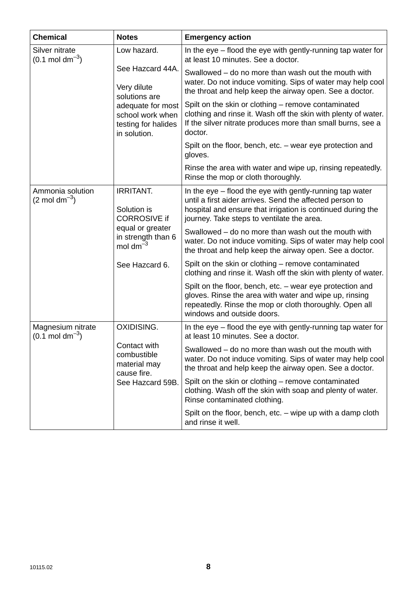| <b>Chemical</b>                                  | <b>Notes</b>                                                                                                                     | <b>Emergency action</b>                                                                                                                                                                                                           |
|--------------------------------------------------|----------------------------------------------------------------------------------------------------------------------------------|-----------------------------------------------------------------------------------------------------------------------------------------------------------------------------------------------------------------------------------|
| Silver nitrate<br>$(0.1 \text{ mol dm}^{-3})$    | Low hazard.                                                                                                                      | In the eye - flood the eye with gently-running tap water for<br>at least 10 minutes. See a doctor.                                                                                                                                |
|                                                  | See Hazcard 44A.<br>Very dilute<br>solutions are<br>adequate for most<br>school work when<br>testing for halides<br>in solution. | Swallowed – do no more than wash out the mouth with<br>water. Do not induce vomiting. Sips of water may help cool<br>the throat and help keep the airway open. See a doctor.                                                      |
|                                                  |                                                                                                                                  | Spilt on the skin or clothing – remove contaminated<br>clothing and rinse it. Wash off the skin with plenty of water.<br>If the silver nitrate produces more than small burns, see a<br>doctor.                                   |
|                                                  |                                                                                                                                  | Spilt on the floor, bench, etc. – wear eye protection and<br>gloves.                                                                                                                                                              |
|                                                  |                                                                                                                                  | Rinse the area with water and wipe up, rinsing repeatedly.<br>Rinse the mop or cloth thoroughly.                                                                                                                                  |
| Ammonia solution<br>$(2 \text{ mol dm}^{-3})$    | <b>IRRITANT.</b><br>Solution is<br><b>CORROSIVE if</b><br>equal or greater<br>in strength than 6<br>mol dm $^{-3}$               | In the eye – flood the eye with gently-running tap water<br>until a first aider arrives. Send the affected person to<br>hospital and ensure that irrigation is continued during the<br>journey. Take steps to ventilate the area. |
|                                                  |                                                                                                                                  | Swallowed – do no more than wash out the mouth with<br>water. Do not induce vomiting. Sips of water may help cool<br>the throat and help keep the airway open. See a doctor.                                                      |
|                                                  | See Hazcard 6.                                                                                                                   | Spilt on the skin or clothing – remove contaminated<br>clothing and rinse it. Wash off the skin with plenty of water.                                                                                                             |
|                                                  |                                                                                                                                  | Spilt on the floor, bench, etc. - wear eye protection and<br>gloves. Rinse the area with water and wipe up, rinsing<br>repeatedly. Rinse the mop or cloth thoroughly. Open all<br>windows and outside doors.                      |
| Magnesium nitrate<br>$(0.1 \text{ mol dm}^{-3})$ | <b>OXIDISING.</b>                                                                                                                | In the eye – flood the eye with gently-running tap water for<br>at least 10 minutes. See a doctor.                                                                                                                                |
|                                                  | Contact with<br>combustible<br>material may<br>cause fire.<br>See Hazcard 59B.                                                   | Swallowed – do no more than wash out the mouth with<br>water. Do not induce vomiting. Sips of water may help cool<br>the throat and help keep the airway open. See a doctor.                                                      |
|                                                  |                                                                                                                                  | Spilt on the skin or clothing – remove contaminated<br>clothing. Wash off the skin with soap and plenty of water.<br>Rinse contaminated clothing.                                                                                 |
|                                                  |                                                                                                                                  | Spilt on the floor, bench, etc. $-$ wipe up with a damp cloth<br>and rinse it well.                                                                                                                                               |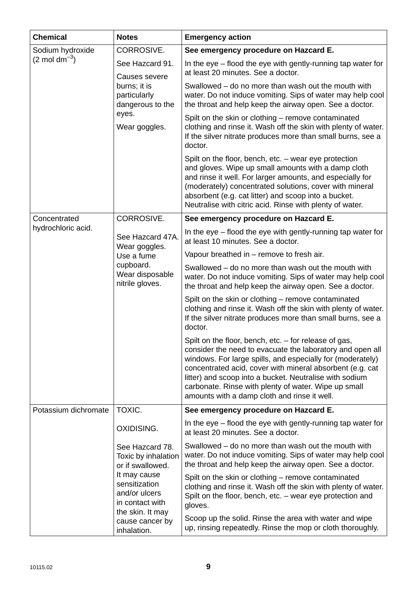| <b>Chemical</b>           | <b>Notes</b>                                                                                                   | <b>Emergency action</b>                                                                                                                                                                                                                                                                                                                                                                                          |
|---------------------------|----------------------------------------------------------------------------------------------------------------|------------------------------------------------------------------------------------------------------------------------------------------------------------------------------------------------------------------------------------------------------------------------------------------------------------------------------------------------------------------------------------------------------------------|
| Sodium hydroxide          | CORROSIVE.                                                                                                     | See emergency procedure on Hazcard E.                                                                                                                                                                                                                                                                                                                                                                            |
| $(2 \text{ mol dm}^{-3})$ | See Hazcard 91.<br>Causes severe<br>burns; it is<br>particularly<br>dangerous to the<br>eyes.<br>Wear goggles. | In the eye – flood the eye with gently-running tap water for<br>at least 20 minutes. See a doctor.                                                                                                                                                                                                                                                                                                               |
|                           |                                                                                                                | Swallowed – do no more than wash out the mouth with<br>water. Do not induce vomiting. Sips of water may help cool<br>the throat and help keep the airway open. See a doctor.                                                                                                                                                                                                                                     |
|                           |                                                                                                                | Spilt on the skin or clothing - remove contaminated<br>clothing and rinse it. Wash off the skin with plenty of water.<br>If the silver nitrate produces more than small burns, see a<br>doctor.                                                                                                                                                                                                                  |
|                           |                                                                                                                | Spilt on the floor, bench, etc. - wear eye protection<br>and gloves. Wipe up small amounts with a damp cloth<br>and rinse it well. For larger amounts, and especially for<br>(moderately) concentrated solutions, cover with mineral<br>absorbent (e.g. cat litter) and scoop into a bucket.<br>Neutralise with citric acid. Rinse with plenty of water.                                                         |
| Concentrated              | CORROSIVE.                                                                                                     | See emergency procedure on Hazcard E.                                                                                                                                                                                                                                                                                                                                                                            |
| hydrochloric acid.        | See Hazcard 47A.<br>Wear goggles.<br>Use a fume<br>cupboard.<br>Wear disposable<br>nitrile gloves.             | In the eye – flood the eye with gently-running tap water for<br>at least 10 minutes. See a doctor.                                                                                                                                                                                                                                                                                                               |
|                           |                                                                                                                | Vapour breathed in – remove to fresh air.                                                                                                                                                                                                                                                                                                                                                                        |
|                           |                                                                                                                | Swallowed – do no more than wash out the mouth with<br>water. Do not induce vomiting. Sips of water may help cool<br>the throat and help keep the airway open. See a doctor.                                                                                                                                                                                                                                     |
|                           |                                                                                                                | Spilt on the skin or clothing – remove contaminated<br>clothing and rinse it. Wash off the skin with plenty of water.<br>If the silver nitrate produces more than small burns, see a<br>doctor.                                                                                                                                                                                                                  |
|                           |                                                                                                                | Spilt on the floor, bench, etc. – for release of gas,<br>consider the need to evacuate the laboratory and open all<br>windows. For large spills, and especially for (moderately)<br>concentrated acid, cover with mineral absorbent (e.g. cat<br>litter) and scoop into a bucket. Neutralise with sodium<br>carbonate. Rinse with plenty of water. Wipe up small<br>amounts with a damp cloth and rinse it well. |
| Potassium dichromate      | TOXIC.                                                                                                         | See emergency procedure on Hazcard E.                                                                                                                                                                                                                                                                                                                                                                            |
|                           | OXIDISING.                                                                                                     | In the eye – flood the eye with gently-running tap water for<br>at least 20 minutes. See a doctor.                                                                                                                                                                                                                                                                                                               |
|                           | See Hazcard 78.<br>Toxic by inhalation<br>or if swallowed.                                                     | Swallowed - do no more than wash out the mouth with<br>water. Do not induce vomiting. Sips of water may help cool<br>the throat and help keep the airway open. See a doctor.                                                                                                                                                                                                                                     |
|                           | It may cause<br>sensitization<br>and/or ulcers<br>in contact with<br>the skin. It may                          | Spilt on the skin or clothing – remove contaminated<br>clothing and rinse it. Wash off the skin with plenty of water.<br>Spilt on the floor, bench, etc. - wear eye protection and<br>gloves.                                                                                                                                                                                                                    |
|                           | cause cancer by<br>inhalation.                                                                                 | Scoop up the solid. Rinse the area with water and wipe<br>up, rinsing repeatedly. Rinse the mop or cloth thoroughly.                                                                                                                                                                                                                                                                                             |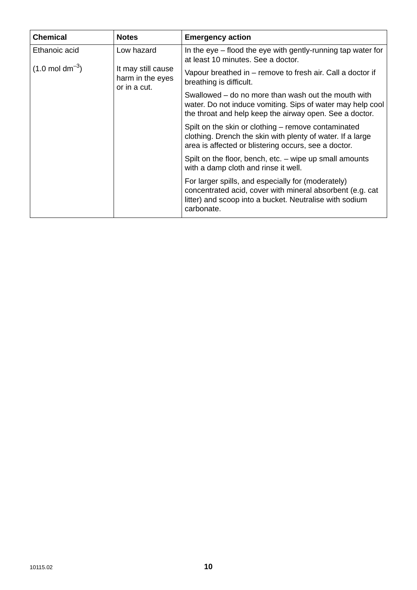| <b>Chemical</b>             | <b>Notes</b>                                           | <b>Emergency action</b>                                                                                                                                                                   |
|-----------------------------|--------------------------------------------------------|-------------------------------------------------------------------------------------------------------------------------------------------------------------------------------------------|
| Ethanoic acid               | Low hazard                                             | In the eye – flood the eye with gently-running tap water for<br>at least 10 minutes. See a doctor.                                                                                        |
| $(1.0 \text{ mol dm}^{-3})$ | It may still cause<br>harm in the eyes<br>or in a cut. | Vapour breathed in – remove to fresh air. Call a doctor if<br>breathing is difficult.                                                                                                     |
|                             |                                                        | Swallowed – do no more than wash out the mouth with<br>water. Do not induce vomiting. Sips of water may help cool<br>the throat and help keep the airway open. See a doctor.              |
|                             |                                                        | Spilt on the skin or clothing – remove contaminated<br>clothing. Drench the skin with plenty of water. If a large<br>area is affected or blistering occurs, see a doctor.                 |
|                             |                                                        | Spilt on the floor, bench, etc. – wipe up small amounts<br>with a damp cloth and rinse it well.                                                                                           |
|                             |                                                        | For larger spills, and especially for (moderately)<br>concentrated acid, cover with mineral absorbent (e.g. cat)<br>litter) and scoop into a bucket. Neutralise with sodium<br>carbonate. |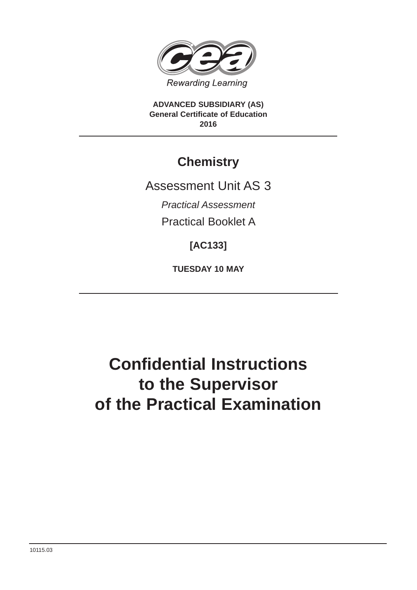

**ADVANCED SUBSIDIARY (AS) General Certificate of Education 2016**

## **Chemistry**

Assessment Unit AS 3

*Practical Assessment*

Practical Booklet A

**[AC133]**

**TUESDAY 10 MAY**

# **Confidential Instructions to the Supervisor of the Practical Examination**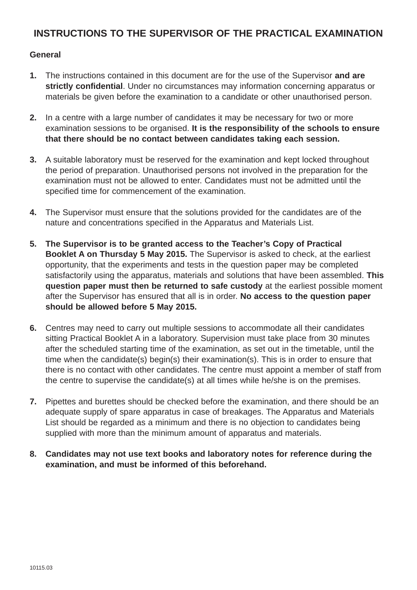#### **INSTRUCTIONS TO THE SUPERVISOR OF THE PRACTICAL EXAMINATION**

#### **General**

- **1.** The instructions contained in this document are for the use of the Supervisor **and are strictly confidential**. Under no circumstances may information concerning apparatus or materials be given before the examination to a candidate or other unauthorised person.
- **2.** In a centre with a large number of candidates it may be necessary for two or more examination sessions to be organised. **It is the responsibility of the schools to ensure that there should be no contact between candidates taking each session.**
- **3.** A suitable laboratory must be reserved for the examination and kept locked throughout the period of preparation. Unauthorised persons not involved in the preparation for the examination must not be allowed to enter. Candidates must not be admitted until the specified time for commencement of the examination.
- **4.** The Supervisor must ensure that the solutions provided for the candidates are of the nature and concentrations specified in the Apparatus and Materials List.
- **5. The Supervisor is to be granted access to the Teacher's Copy of Practical Booklet A on Thursday 5 May 2015.** The Supervisor is asked to check, at the earliest opportunity, that the experiments and tests in the question paper may be completed satisfactorily using the apparatus, materials and solutions that have been assembled. **This question paper must then be returned to safe custody** at the earliest possible moment after the Supervisor has ensured that all is in order. **No access to the question paper should be allowed before 5 May 2015.**
- **6.** Centres may need to carry out multiple sessions to accommodate all their candidates sitting Practical Booklet A in a laboratory. Supervision must take place from 30 minutes after the scheduled starting time of the examination, as set out in the timetable, until the time when the candidate(s) begin(s) their examination(s). This is in order to ensure that there is no contact with other candidates. The centre must appoint a member of staff from the centre to supervise the candidate(s) at all times while he/she is on the premises.
- **7.** Pipettes and burettes should be checked before the examination, and there should be an adequate supply of spare apparatus in case of breakages. The Apparatus and Materials List should be regarded as a minimum and there is no objection to candidates being supplied with more than the minimum amount of apparatus and materials.
- **8. Candidates may not use text books and laboratory notes for reference during the examination, and must be informed of this beforehand.**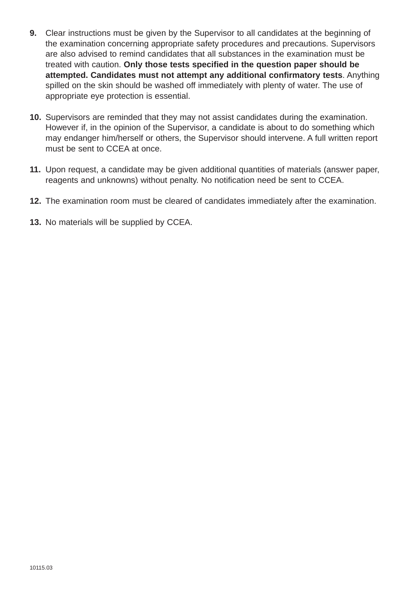- **9.** Clear instructions must be given by the Supervisor to all candidates at the beginning of the examination concerning appropriate safety procedures and precautions. Supervisors are also advised to remind candidates that all substances in the examination must be treated with caution. **Only those tests specified in the question paper should be attempted. Candidates must not attempt any additional confirmatory tests**. Anything spilled on the skin should be washed off immediately with plenty of water. The use of appropriate eye protection is essential.
- **10.** Supervisors are reminded that they may not assist candidates during the examination. However if, in the opinion of the Supervisor, a candidate is about to do something which may endanger him/herself or others, the Supervisor should intervene. A full written report must be sent to CCEA at once.
- **11.** Upon request, a candidate may be given additional quantities of materials (answer paper, reagents and unknowns) without penalty. No notification need be sent to CCEA.
- **12.** The examination room must be cleared of candidates immediately after the examination.
- **13.** No materials will be supplied by CCEA.